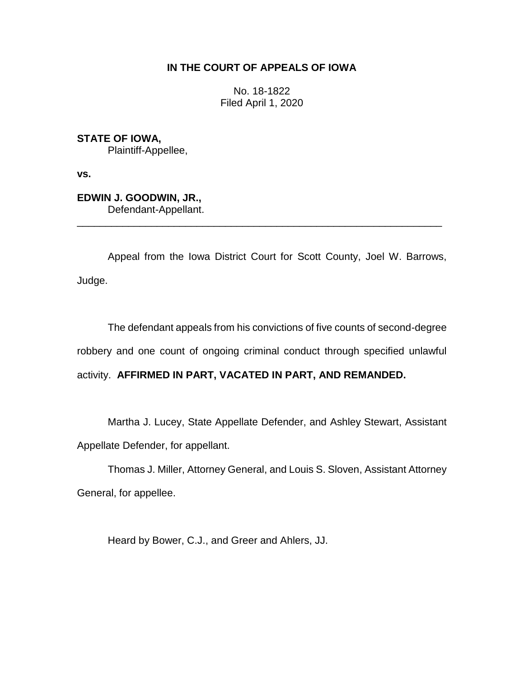# **IN THE COURT OF APPEALS OF IOWA**

No. 18-1822 Filed April 1, 2020

**STATE OF IOWA,** Plaintiff-Appellee,

**vs.**

**EDWIN J. GOODWIN, JR.,** Defendant-Appellant.

Appeal from the Iowa District Court for Scott County, Joel W. Barrows, Judge.

\_\_\_\_\_\_\_\_\_\_\_\_\_\_\_\_\_\_\_\_\_\_\_\_\_\_\_\_\_\_\_\_\_\_\_\_\_\_\_\_\_\_\_\_\_\_\_\_\_\_\_\_\_\_\_\_\_\_\_\_\_\_\_\_

The defendant appeals from his convictions of five counts of second-degree robbery and one count of ongoing criminal conduct through specified unlawful activity. **AFFIRMED IN PART, VACATED IN PART, AND REMANDED.**

Martha J. Lucey, State Appellate Defender, and Ashley Stewart, Assistant Appellate Defender, for appellant.

Thomas J. Miller, Attorney General, and Louis S. Sloven, Assistant Attorney General, for appellee.

Heard by Bower, C.J., and Greer and Ahlers, JJ.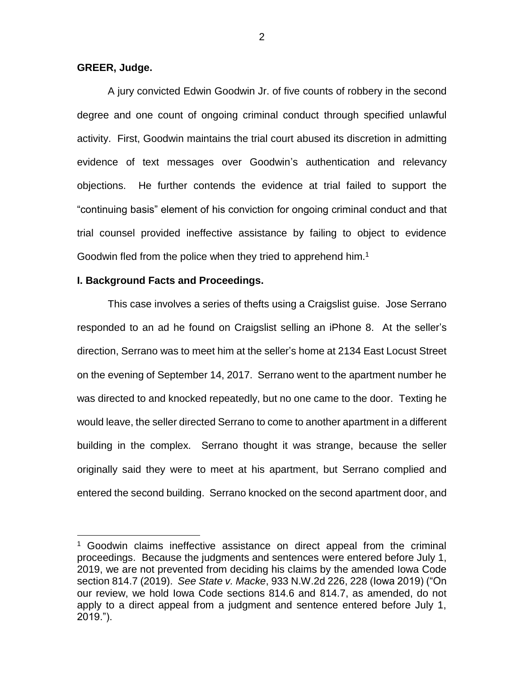#### **GREER, Judge.**

 $\overline{a}$ 

A jury convicted Edwin Goodwin Jr. of five counts of robbery in the second degree and one count of ongoing criminal conduct through specified unlawful activity. First, Goodwin maintains the trial court abused its discretion in admitting evidence of text messages over Goodwin's authentication and relevancy objections. He further contends the evidence at trial failed to support the "continuing basis" element of his conviction for ongoing criminal conduct and that trial counsel provided ineffective assistance by failing to object to evidence Goodwin fled from the police when they tried to apprehend him.<sup>1</sup>

#### **I. Background Facts and Proceedings.**

This case involves a series of thefts using a Craigslist guise. Jose Serrano responded to an ad he found on Craigslist selling an iPhone 8. At the seller's direction, Serrano was to meet him at the seller's home at 2134 East Locust Street on the evening of September 14, 2017. Serrano went to the apartment number he was directed to and knocked repeatedly, but no one came to the door. Texting he would leave, the seller directed Serrano to come to another apartment in a different building in the complex. Serrano thought it was strange, because the seller originally said they were to meet at his apartment, but Serrano complied and entered the second building. Serrano knocked on the second apartment door, and

<sup>&</sup>lt;sup>1</sup> Goodwin claims ineffective assistance on direct appeal from the criminal proceedings. Because the judgments and sentences were entered before July 1, 2019, we are not prevented from deciding his claims by the amended Iowa Code section 814.7 (2019). *See State v. Macke*, 933 N.W.2d 226, 228 (Iowa 2019) ("On our review, we hold Iowa Code sections 814.6 and [814.7,](https://1.next.westlaw.com/Link/Document/FullText?findType=L&pubNum=1000256&cite=IASTS814.7&originatingDoc=Ia3e60440eb3711e9ad6fd2296b11a061&refType=LQ&originationContext=document&transitionType=DocumentItem&contextData=(sc.Search)) as amended, do not apply to a direct appeal from a judgment and sentence entered before July 1, 2019.").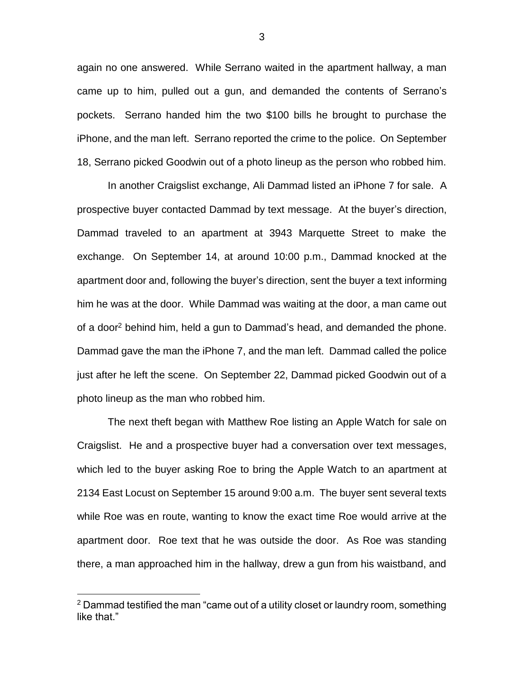again no one answered. While Serrano waited in the apartment hallway, a man came up to him, pulled out a gun, and demanded the contents of Serrano's pockets. Serrano handed him the two \$100 bills he brought to purchase the iPhone, and the man left. Serrano reported the crime to the police. On September 18, Serrano picked Goodwin out of a photo lineup as the person who robbed him.

In another Craigslist exchange, Ali Dammad listed an iPhone 7 for sale. A prospective buyer contacted Dammad by text message. At the buyer's direction, Dammad traveled to an apartment at 3943 Marquette Street to make the exchange. On September 14, at around 10:00 p.m., Dammad knocked at the apartment door and, following the buyer's direction, sent the buyer a text informing him he was at the door. While Dammad was waiting at the door, a man came out of a door<sup>2</sup> behind him, held a gun to Dammad's head, and demanded the phone. Dammad gave the man the iPhone 7, and the man left. Dammad called the police just after he left the scene. On September 22, Dammad picked Goodwin out of a photo lineup as the man who robbed him.

The next theft began with Matthew Roe listing an Apple Watch for sale on Craigslist. He and a prospective buyer had a conversation over text messages, which led to the buyer asking Roe to bring the Apple Watch to an apartment at 2134 East Locust on September 15 around 9:00 a.m. The buyer sent several texts while Roe was en route, wanting to know the exact time Roe would arrive at the apartment door. Roe text that he was outside the door. As Roe was standing there, a man approached him in the hallway, drew a gun from his waistband, and

 $2$  Dammad testified the man "came out of a utility closet or laundry room, something like that."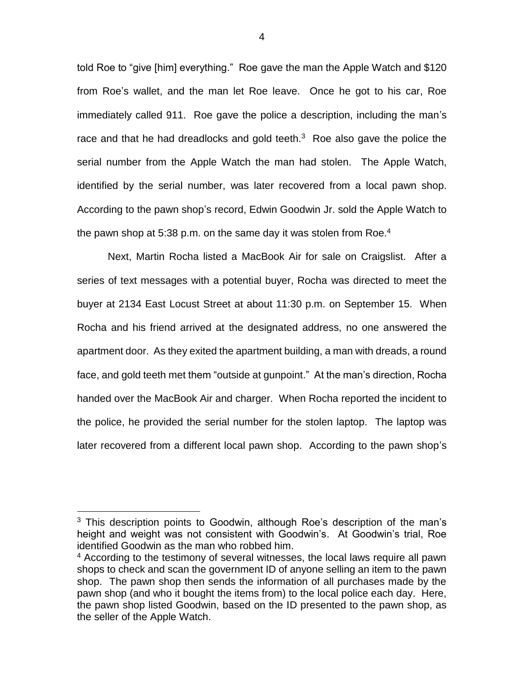told Roe to "give [him] everything." Roe gave the man the Apple Watch and \$120 from Roe's wallet, and the man let Roe leave. Once he got to his car, Roe immediately called 911. Roe gave the police a description, including the man's race and that he had dreadlocks and gold teeth. $3$  Roe also gave the police the serial number from the Apple Watch the man had stolen. The Apple Watch, identified by the serial number, was later recovered from a local pawn shop. According to the pawn shop's record, Edwin Goodwin Jr. sold the Apple Watch to the pawn shop at 5:38 p.m. on the same day it was stolen from Roe.<sup>4</sup>

Next, Martin Rocha listed a MacBook Air for sale on Craigslist. After a series of text messages with a potential buyer, Rocha was directed to meet the buyer at 2134 East Locust Street at about 11:30 p.m. on September 15. When Rocha and his friend arrived at the designated address, no one answered the apartment door. As they exited the apartment building, a man with dreads, a round face, and gold teeth met them "outside at gunpoint." At the man's direction, Rocha handed over the MacBook Air and charger. When Rocha reported the incident to the police, he provided the serial number for the stolen laptop. The laptop was later recovered from a different local pawn shop. According to the pawn shop's

 $\overline{a}$ 

4

 $3$  This description points to Goodwin, although Roe's description of the man's height and weight was not consistent with Goodwin's. At Goodwin's trial, Roe identified Goodwin as the man who robbed him.

<sup>4</sup> According to the testimony of several witnesses, the local laws require all pawn shops to check and scan the government ID of anyone selling an item to the pawn shop. The pawn shop then sends the information of all purchases made by the pawn shop (and who it bought the items from) to the local police each day. Here, the pawn shop listed Goodwin, based on the ID presented to the pawn shop, as the seller of the Apple Watch.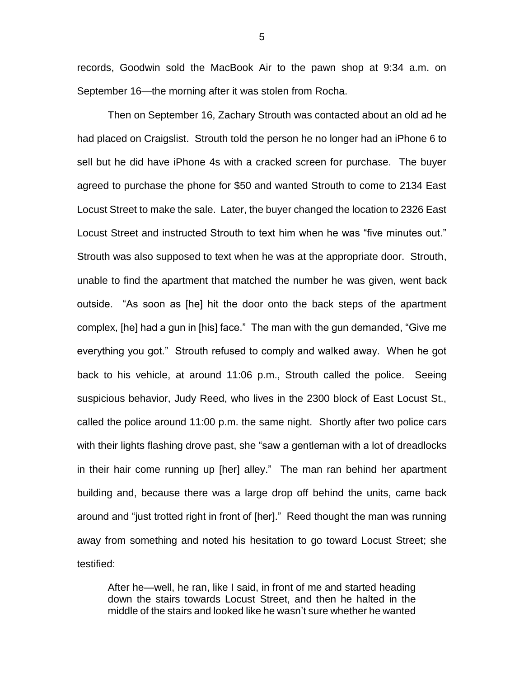records, Goodwin sold the MacBook Air to the pawn shop at 9:34 a.m. on September 16—the morning after it was stolen from Rocha.

Then on September 16, Zachary Strouth was contacted about an old ad he had placed on Craigslist. Strouth told the person he no longer had an iPhone 6 to sell but he did have iPhone 4s with a cracked screen for purchase. The buyer agreed to purchase the phone for \$50 and wanted Strouth to come to 2134 East Locust Street to make the sale. Later, the buyer changed the location to 2326 East Locust Street and instructed Strouth to text him when he was "five minutes out." Strouth was also supposed to text when he was at the appropriate door. Strouth, unable to find the apartment that matched the number he was given, went back outside. "As soon as [he] hit the door onto the back steps of the apartment complex, [he] had a gun in [his] face." The man with the gun demanded, "Give me everything you got." Strouth refused to comply and walked away. When he got back to his vehicle, at around 11:06 p.m., Strouth called the police. Seeing suspicious behavior, Judy Reed, who lives in the 2300 block of East Locust St., called the police around 11:00 p.m. the same night. Shortly after two police cars with their lights flashing drove past, she "saw a gentleman with a lot of dreadlocks in their hair come running up [her] alley." The man ran behind her apartment building and, because there was a large drop off behind the units, came back around and "just trotted right in front of [her]." Reed thought the man was running away from something and noted his hesitation to go toward Locust Street; she testified:

After he—well, he ran, like I said, in front of me and started heading down the stairs towards Locust Street, and then he halted in the middle of the stairs and looked like he wasn't sure whether he wanted

5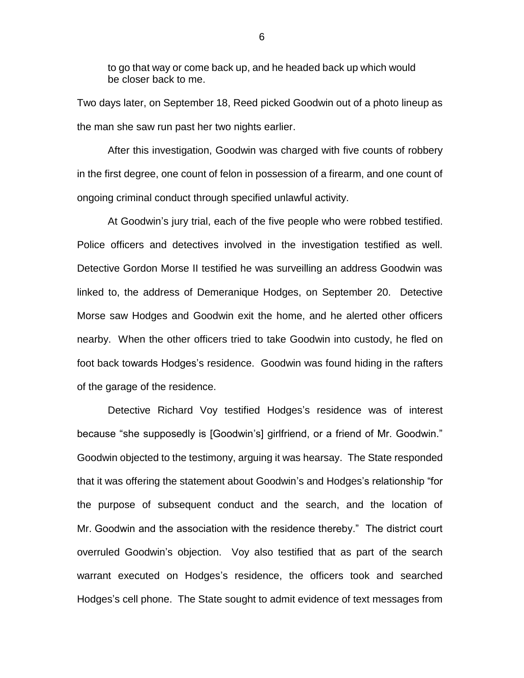to go that way or come back up, and he headed back up which would be closer back to me.

Two days later, on September 18, Reed picked Goodwin out of a photo lineup as the man she saw run past her two nights earlier.

After this investigation, Goodwin was charged with five counts of robbery in the first degree, one count of felon in possession of a firearm, and one count of ongoing criminal conduct through specified unlawful activity.

At Goodwin's jury trial, each of the five people who were robbed testified. Police officers and detectives involved in the investigation testified as well. Detective Gordon Morse II testified he was surveilling an address Goodwin was linked to, the address of Demeranique Hodges, on September 20. Detective Morse saw Hodges and Goodwin exit the home, and he alerted other officers nearby. When the other officers tried to take Goodwin into custody, he fled on foot back towards Hodges's residence. Goodwin was found hiding in the rafters of the garage of the residence.

Detective Richard Voy testified Hodges's residence was of interest because "she supposedly is [Goodwin's] girlfriend, or a friend of Mr. Goodwin." Goodwin objected to the testimony, arguing it was hearsay. The State responded that it was offering the statement about Goodwin's and Hodges's relationship "for the purpose of subsequent conduct and the search, and the location of Mr. Goodwin and the association with the residence thereby." The district court overruled Goodwin's objection. Voy also testified that as part of the search warrant executed on Hodges's residence, the officers took and searched Hodges's cell phone. The State sought to admit evidence of text messages from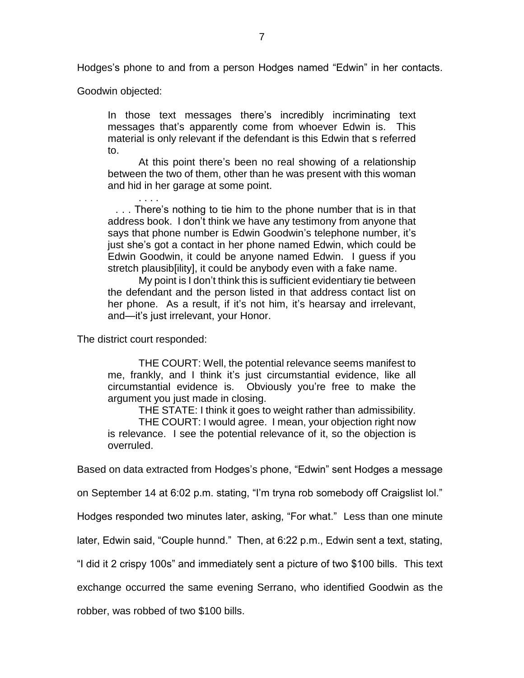Hodges's phone to and from a person Hodges named "Edwin" in her contacts.

Goodwin objected:

In those text messages there's incredibly incriminating text messages that's apparently come from whoever Edwin is. This material is only relevant if the defendant is this Edwin that s referred to.

At this point there's been no real showing of a relationship between the two of them, other than he was present with this woman and hid in her garage at some point.

. . . There's nothing to tie him to the phone number that is in that address book. I don't think we have any testimony from anyone that says that phone number is Edwin Goodwin's telephone number, it's just she's got a contact in her phone named Edwin, which could be Edwin Goodwin, it could be anyone named Edwin. I guess if you stretch plausib[ility], it could be anybody even with a fake name.

My point is I don't think this is sufficient evidentiary tie between the defendant and the person listed in that address contact list on her phone. As a result, if it's not him, it's hearsay and irrelevant, and—it's just irrelevant, your Honor.

The district court responded:

. . . .

THE COURT: Well, the potential relevance seems manifest to me, frankly, and I think it's just circumstantial evidence, like all circumstantial evidence is. Obviously you're free to make the argument you just made in closing.

THE STATE: I think it goes to weight rather than admissibility. THE COURT: I would agree. I mean, your objection right now is relevance. I see the potential relevance of it, so the objection is overruled.

Based on data extracted from Hodges's phone, "Edwin" sent Hodges a message

on September 14 at 6:02 p.m. stating, "I'm tryna rob somebody off Craigslist lol."

Hodges responded two minutes later, asking, "For what." Less than one minute

later, Edwin said, "Couple hunnd." Then, at 6:22 p.m., Edwin sent a text, stating,

"I did it 2 crispy 100s" and immediately sent a picture of two \$100 bills. This text

exchange occurred the same evening Serrano, who identified Goodwin as the

robber, was robbed of two \$100 bills.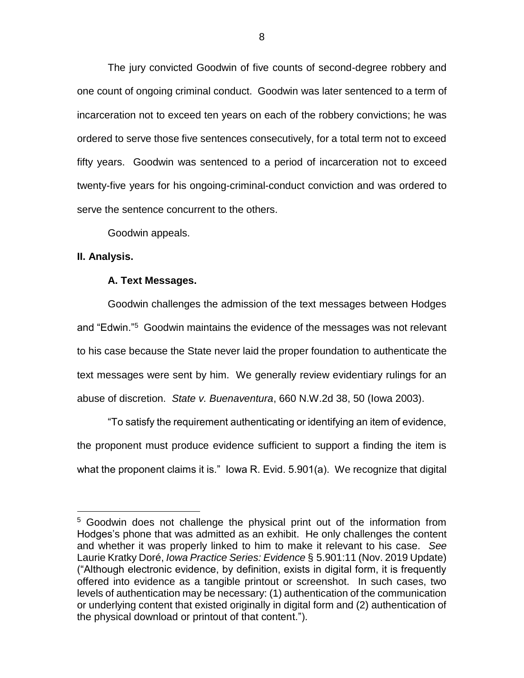The jury convicted Goodwin of five counts of second-degree robbery and one count of ongoing criminal conduct. Goodwin was later sentenced to a term of incarceration not to exceed ten years on each of the robbery convictions; he was ordered to serve those five sentences consecutively, for a total term not to exceed fifty years. Goodwin was sentenced to a period of incarceration not to exceed twenty-five years for his ongoing-criminal-conduct conviction and was ordered to serve the sentence concurrent to the others.

Goodwin appeals.

## **II. Analysis.**

 $\overline{a}$ 

## **A. Text Messages.**

Goodwin challenges the admission of the text messages between Hodges and "Edwin."<sup>5</sup> Goodwin maintains the evidence of the messages was not relevant to his case because the State never laid the proper foundation to authenticate the text messages were sent by him. We generally review evidentiary rulings for an abuse of discretion. *State v. Buenaventura*, 660 N.W.2d 38, 50 (Iowa 2003).

"To satisfy the requirement authenticating or identifying an item of evidence, the proponent must produce evidence sufficient to support a finding the item is what the proponent claims it is." Iowa R. Evid. 5.901(a). We recognize that digital

<sup>&</sup>lt;sup>5</sup> Goodwin does not challenge the physical print out of the information from Hodges's phone that was admitted as an exhibit. He only challenges the content and whether it was properly linked to him to make it relevant to his case. *See*  Laurie Kratky Doré, *Iowa Practice Series: Evidence* § 5.901:11 (Nov. 2019 Update) ("Although electronic evidence, by definition, exists in digital form, it is frequently offered into evidence as a tangible printout or screenshot. In such cases, two levels of authentication may be necessary: (1) authentication of the communication or underlying content that existed originally in digital form and (2) authentication of the physical download or printout of that content.").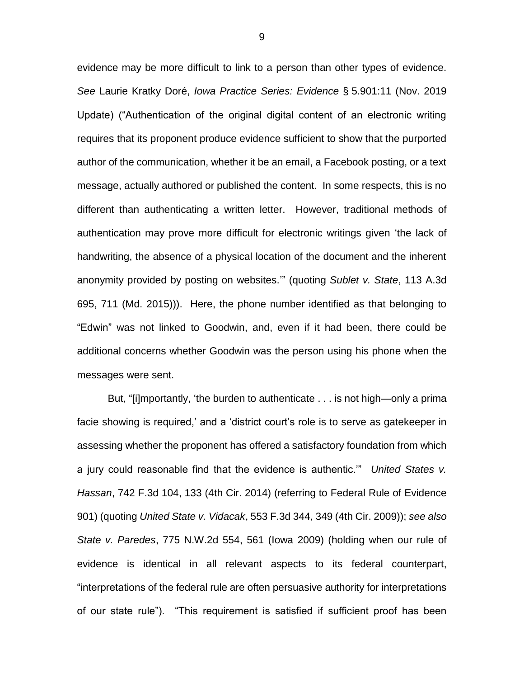evidence may be more difficult to link to a person than other types of evidence. *See* Laurie Kratky Doré, *Iowa Practice Series: Evidence* § 5.901:11 (Nov. 2019 Update) ("Authentication of the original digital content of an electronic writing requires that its proponent produce evidence sufficient to show that the purported author of the communication, whether it be an email, a Facebook posting, or a text message, actually authored or published the content. In some respects, this is no different than authenticating a written letter. However, traditional methods of authentication may prove more difficult for electronic writings given 'the lack of handwriting, the absence of a physical location of the document and the inherent anonymity provided by posting on websites.'" (quoting *Sublet v. State*, 113 A.3d 695, 711 (Md. 2015))). Here, the phone number identified as that belonging to "Edwin" was not linked to Goodwin, and, even if it had been, there could be additional concerns whether Goodwin was the person using his phone when the messages were sent.

But, "[i]mportantly, 'the burden to authenticate . . . is not high—only a prima facie showing is required,' and a 'district court's role is to serve as gatekeeper in assessing whether the proponent has offered a satisfactory foundation from which a jury could reasonable find that the evidence is authentic.'" *United States v. Hassan*, 742 F.3d 104, 133 (4th Cir. 2014) (referring to Federal Rule of Evidence 901) (quoting *United State v. Vidacak*, 553 F.3d 344, 349 (4th Cir. 2009)); *see also State v. Paredes*, 775 N.W.2d 554, 561 (Iowa 2009) (holding when our rule of evidence is identical in all relevant aspects to its federal counterpart, "interpretations of the federal rule are often persuasive authority for interpretations of our state rule"). "This requirement is satisfied if sufficient proof has been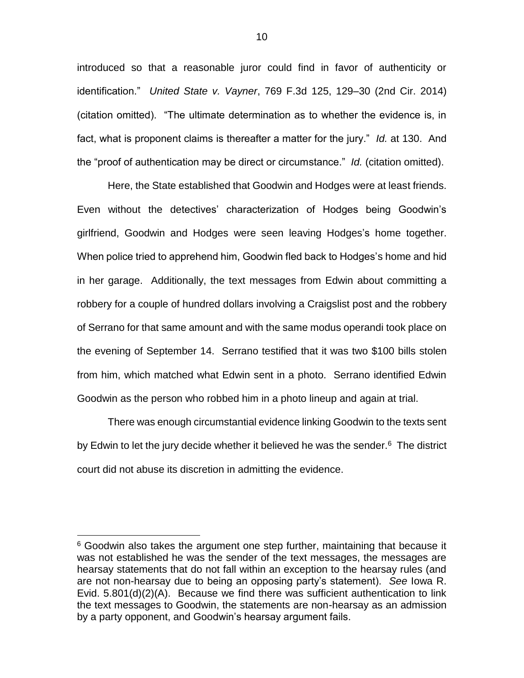introduced so that a reasonable juror could find in favor of authenticity or identification." *United State v. Vayner*, 769 F.3d 125, 129–30 (2nd Cir. 2014) (citation omitted). "The ultimate determination as to whether the evidence is, in fact, what is proponent claims is thereafter a matter for the jury." *Id.* at 130. And the "proof of authentication may be direct or circumstance." *Id.* (citation omitted).

Here, the State established that Goodwin and Hodges were at least friends. Even without the detectives' characterization of Hodges being Goodwin's girlfriend, Goodwin and Hodges were seen leaving Hodges's home together. When police tried to apprehend him, Goodwin fled back to Hodges's home and hid in her garage. Additionally, the text messages from Edwin about committing a robbery for a couple of hundred dollars involving a Craigslist post and the robbery of Serrano for that same amount and with the same modus operandi took place on the evening of September 14. Serrano testified that it was two \$100 bills stolen from him, which matched what Edwin sent in a photo. Serrano identified Edwin Goodwin as the person who robbed him in a photo lineup and again at trial.

There was enough circumstantial evidence linking Goodwin to the texts sent by Edwin to let the jury decide whether it believed he was the sender.<sup>6</sup> The district court did not abuse its discretion in admitting the evidence.

 $6$  Goodwin also takes the argument one step further, maintaining that because it was not established he was the sender of the text messages, the messages are hearsay statements that do not fall within an exception to the hearsay rules (and are not non-hearsay due to being an opposing party's statement). *See* Iowa R. Evid. 5.801(d)(2)(A). Because we find there was sufficient authentication to link the text messages to Goodwin, the statements are non-hearsay as an admission by a party opponent, and Goodwin's hearsay argument fails.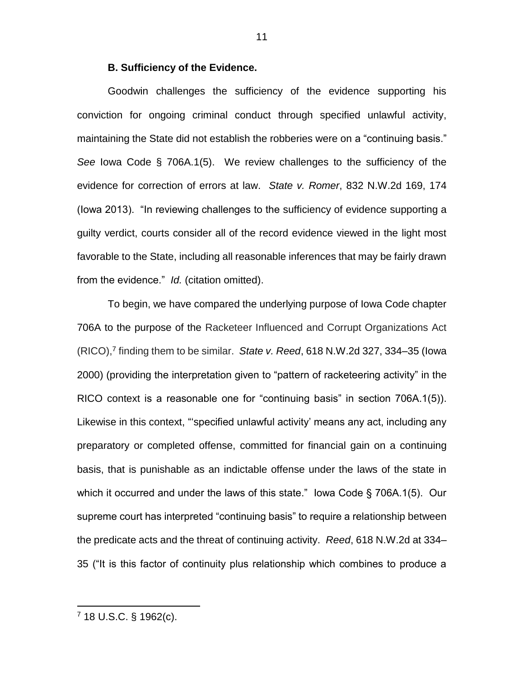#### **B. Sufficiency of the Evidence.**

Goodwin challenges the sufficiency of the evidence supporting his conviction for ongoing criminal conduct through specified unlawful activity, maintaining the State did not establish the robberies were on a "continuing basis." *See* Iowa Code § 706A.1(5). We review challenges to the sufficiency of the evidence for correction of errors at law. *State v. Romer*, 832 N.W.2d 169, 174 (Iowa 2013). "In reviewing challenges to the sufficiency of evidence supporting a guilty verdict, courts consider all of the record evidence viewed in the light most favorable to the State, including all reasonable inferences that may be fairly drawn from the evidence." *Id.* (citation omitted).

To begin, we have compared the underlying purpose of Iowa Code chapter 706A to the purpose of the Racketeer Influenced and Corrupt Organizations Act (RICO), 7 finding them to be similar. *State v. Reed*, 618 N.W.2d 327, 334–35 (Iowa 2000) (providing the interpretation given to "pattern of racketeering activity" in the RICO context is a reasonable one for "continuing basis" in section 706A.1(5)). Likewise in this context, "'specified unlawful activity' means any act, including any preparatory or completed offense, committed for financial gain on a continuing basis, that is punishable as an indictable offense under the laws of the state in which it occurred and under the laws of this state." Iowa Code § 706A.1(5). Our supreme court has interpreted "continuing basis" to require a relationship between the predicate acts and the threat of continuing activity. *Reed*, 618 N.W.2d at 334– 35 ("It is this factor of continuity plus relationship which combines to produce a

<sup>7</sup> 18 U.S.C. § 1962(c).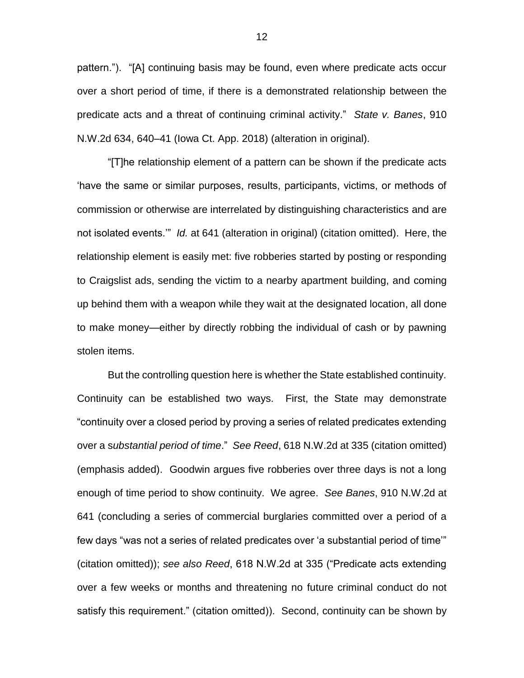pattern."). "[A] continuing basis may be found, even where predicate acts occur over a short period of time, if there is a demonstrated relationship between the predicate acts and a threat of continuing criminal activity." *State v. Banes*, 910 N.W.2d 634, 640–41 (Iowa Ct. App. 2018) (alteration in original).

"[T]he relationship element of a pattern can be shown if the predicate acts 'have the same or similar purposes, results, participants, victims, or methods of commission or otherwise are interrelated by distinguishing characteristics and are not isolated events.'" *Id.* at 641 (alteration in original) (citation omitted). Here, the relationship element is easily met: five robberies started by posting or responding to Craigslist ads, sending the victim to a nearby apartment building, and coming up behind them with a weapon while they wait at the designated location, all done to make money—either by directly robbing the individual of cash or by pawning stolen items.

But the controlling question here is whether the State established continuity. Continuity can be established two ways. First, the State may demonstrate "continuity over a closed period by proving a series of related predicates extending over a s*ubstantial period of time*." *See Reed*, 618 N.W.2d at 335 (citation omitted) (emphasis added). Goodwin argues five robberies over three days is not a long enough of time period to show continuity. We agree. *See Banes*, 910 N.W.2d at 641 (concluding a series of commercial burglaries committed over a period of a few days "was not a series of related predicates over 'a substantial period of time'" (citation omitted)); *see also Reed*, 618 N.W.2d at 335 ("Predicate acts extending over a few weeks or months and threatening no future criminal conduct do not satisfy this requirement." (citation omitted)). Second, continuity can be shown by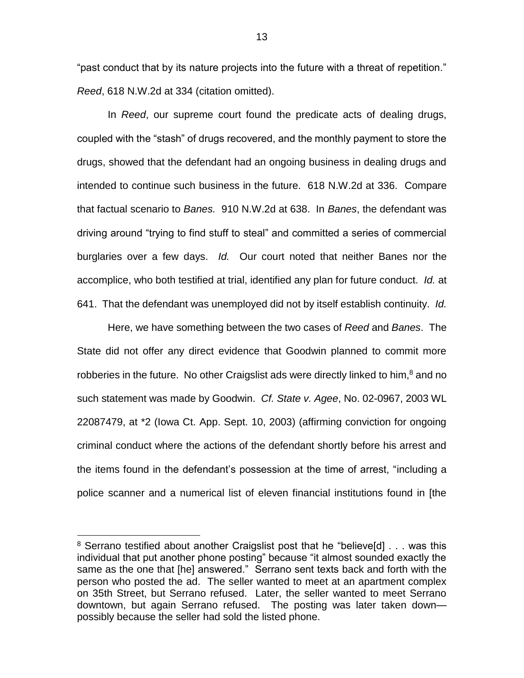"past conduct that by its nature projects into the future with a threat of repetition." *Reed*, 618 N.W.2d at 334 (citation omitted).

In *Reed*, our supreme court found the predicate acts of dealing drugs, coupled with the "stash" of drugs recovered, and the monthly payment to store the drugs, showed that the defendant had an ongoing business in dealing drugs and intended to continue such business in the future. 618 N.W.2d at 336. Compare that factual scenario to *Banes.* 910 N.W.2d at 638. In *Banes*, the defendant was driving around "trying to find stuff to steal" and committed a series of commercial burglaries over a few days. *Id.* Our court noted that neither Banes nor the accomplice, who both testified at trial, identified any plan for future conduct. *Id.* at 641. That the defendant was unemployed did not by itself establish continuity. *Id.* 

Here, we have something between the two cases of *Reed* and *Banes*. The State did not offer any direct evidence that Goodwin planned to commit more robberies in the future. No other Craigslist ads were directly linked to him, $8$  and no such statement was made by Goodwin. *Cf. State v. Agee*, No. 02-0967, 2003 WL 22087479, at \*2 (Iowa Ct. App. Sept. 10, 2003) (affirming conviction for ongoing criminal conduct where the actions of the defendant shortly before his arrest and the items found in the defendant's possession at the time of arrest, "including a police scanner and a numerical list of eleven financial institutions found in [the

 $8$  Serrano testified about another Craigslist post that he "believe[d]  $\ldots$  was this individual that put another phone posting" because "it almost sounded exactly the same as the one that [he] answered." Serrano sent texts back and forth with the person who posted the ad. The seller wanted to meet at an apartment complex on 35th Street, but Serrano refused. Later, the seller wanted to meet Serrano downtown, but again Serrano refused. The posting was later taken down possibly because the seller had sold the listed phone.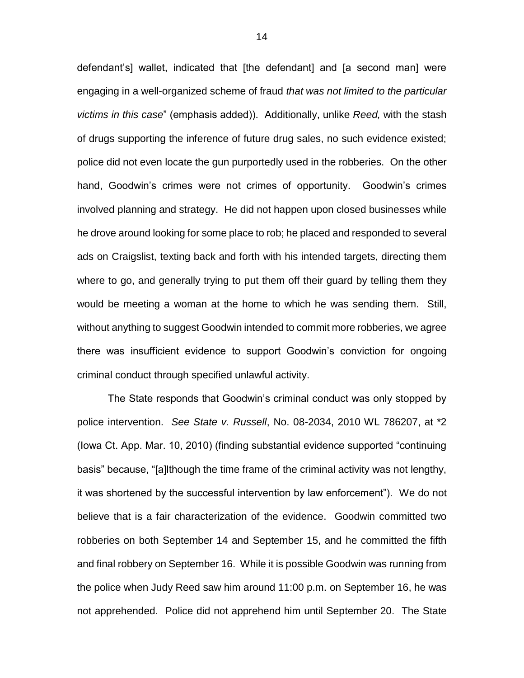defendant's] wallet, indicated that [the defendant] and [a second man] were engaging in a well-organized scheme of fraud *that was not limited to the particular victims in this case*" (emphasis added)). Additionally, unlike *Reed,* with the stash of drugs supporting the inference of future drug sales, no such evidence existed; police did not even locate the gun purportedly used in the robberies. On the other hand, Goodwin's crimes were not crimes of opportunity. Goodwin's crimes involved planning and strategy. He did not happen upon closed businesses while he drove around looking for some place to rob; he placed and responded to several ads on Craigslist, texting back and forth with his intended targets, directing them where to go, and generally trying to put them off their guard by telling them they would be meeting a woman at the home to which he was sending them. Still, without anything to suggest Goodwin intended to commit more robberies, we agree there was insufficient evidence to support Goodwin's conviction for ongoing criminal conduct through specified unlawful activity.

The State responds that Goodwin's criminal conduct was only stopped by police intervention. *See State v. Russell*, No. 08-2034, 2010 WL 786207, at \*2 (Iowa Ct. App. Mar. 10, 2010) (finding substantial evidence supported "continuing basis" because, "[a]lthough the time frame of the criminal activity was not lengthy, it was shortened by the successful intervention by law enforcement"). We do not believe that is a fair characterization of the evidence. Goodwin committed two robberies on both September 14 and September 15, and he committed the fifth and final robbery on September 16. While it is possible Goodwin was running from the police when Judy Reed saw him around 11:00 p.m. on September 16, he was not apprehended. Police did not apprehend him until September 20. The State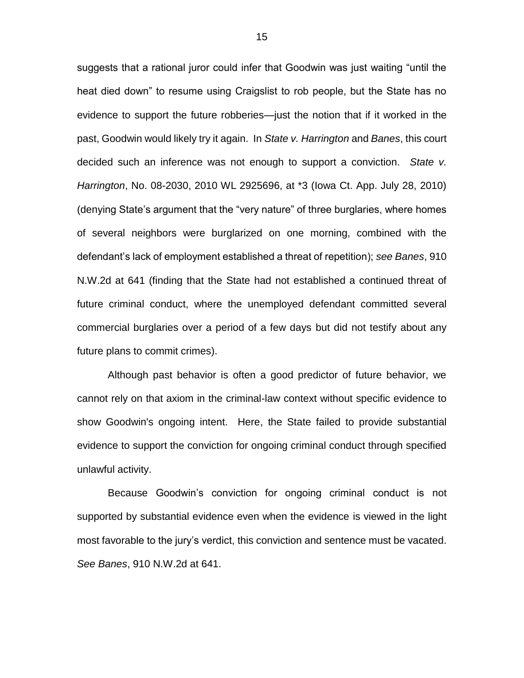suggests that a rational juror could infer that Goodwin was just waiting "until the heat died down" to resume using Craigslist to rob people, but the State has no evidence to support the future robberies—just the notion that if it worked in the past, Goodwin would likely try it again. In *State v. Harrington* and *Banes*, this court decided such an inference was not enough to support a conviction. *State v. Harrington*, No. 08-2030, 2010 WL 2925696, at \*3 (Iowa Ct. App. July 28, 2010) (denying State's argument that the "very nature" of three burglaries, where homes of several neighbors were burglarized on one morning, combined with the defendant's lack of employment established a threat of repetition); *see Banes*, 910 N.W.2d at 641 (finding that the State had not established a continued threat of future criminal conduct, where the unemployed defendant committed several commercial burglaries over a period of a few days but did not testify about any future plans to commit crimes).

Although past behavior is often a good predictor of future behavior, we cannot rely on that axiom in the criminal-law context without specific evidence to show Goodwin's ongoing intent. Here, the State failed to provide substantial evidence to support the conviction for ongoing criminal conduct through specified unlawful activity.

Because Goodwin's conviction for ongoing criminal conduct is not supported by substantial evidence even when the evidence is viewed in the light most favorable to the jury's verdict, this conviction and sentence must be vacated. *See Banes*, 910 N.W.2d at 641.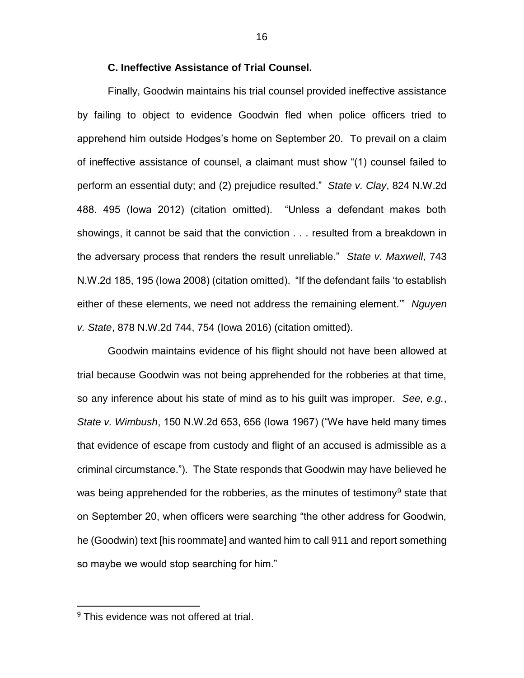## **C. Ineffective Assistance of Trial Counsel.**

Finally, Goodwin maintains his trial counsel provided ineffective assistance by failing to object to evidence Goodwin fled when police officers tried to apprehend him outside Hodges's home on September 20. To prevail on a claim of ineffective assistance of counsel, a claimant must show "(1) counsel failed to perform an essential duty; and (2) prejudice resulted." *State v. Clay*, 824 N.W.2d 488. 495 (Iowa 2012) (citation omitted). "Unless a defendant makes both showings, it cannot be said that the conviction . . . resulted from a breakdown in the adversary process that renders the result unreliable." *State v. Maxwell*, 743 N.W.2d 185, 195 (Iowa 2008) (citation omitted). "If the defendant fails 'to establish either of these elements, we need not address the remaining element.'" *Nguyen v. State*, 878 N.W.2d 744, 754 (Iowa 2016) (citation omitted).

Goodwin maintains evidence of his flight should not have been allowed at trial because Goodwin was not being apprehended for the robberies at that time, so any inference about his state of mind as to his guilt was improper. *See, e.g.*, *State v. Wimbush*, 150 N.W.2d 653, 656 (Iowa 1967) ("We have held many times that evidence of escape from custody and flight of an accused is admissible as a criminal circumstance."). The State responds that Goodwin may have believed he was being apprehended for the robberies, as the minutes of testimony<sup>9</sup> state that on September 20, when officers were searching "the other address for Goodwin, he (Goodwin) text [his roommate] and wanted him to call 911 and report something so maybe we would stop searching for him."

<sup>&</sup>lt;sup>9</sup> This evidence was not offered at trial.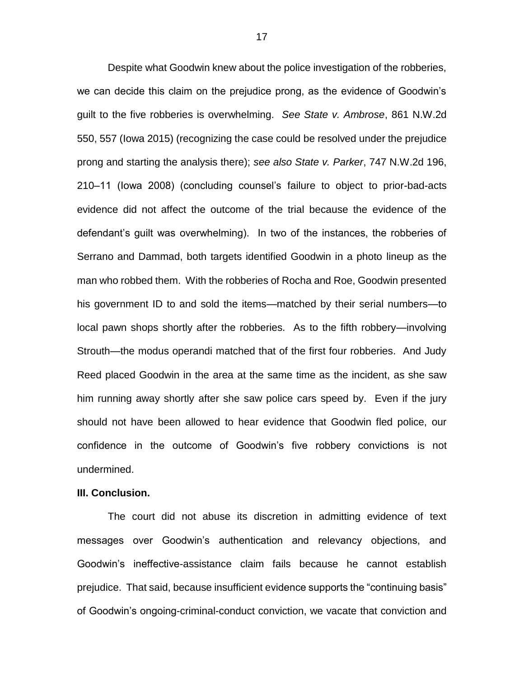Despite what Goodwin knew about the police investigation of the robberies, we can decide this claim on the prejudice prong, as the evidence of Goodwin's guilt to the five robberies is overwhelming. *See State v. Ambrose*, 861 N.W.2d 550, 557 (Iowa 2015) (recognizing the case could be resolved under the prejudice prong and starting the analysis there); *see also State v. Parker*, 747 N.W.2d 196, 210–11 (Iowa 2008) (concluding counsel's failure to object to prior-bad-acts evidence did not affect the outcome of the trial because the evidence of the defendant's guilt was overwhelming). In two of the instances, the robberies of Serrano and Dammad, both targets identified Goodwin in a photo lineup as the man who robbed them. With the robberies of Rocha and Roe, Goodwin presented his government ID to and sold the items—matched by their serial numbers—to local pawn shops shortly after the robberies. As to the fifth robbery—involving Strouth—the modus operandi matched that of the first four robberies. And Judy Reed placed Goodwin in the area at the same time as the incident, as she saw him running away shortly after she saw police cars speed by. Even if the jury should not have been allowed to hear evidence that Goodwin fled police, our confidence in the outcome of Goodwin's five robbery convictions is not undermined.

#### **III. Conclusion.**

The court did not abuse its discretion in admitting evidence of text messages over Goodwin's authentication and relevancy objections, and Goodwin's ineffective-assistance claim fails because he cannot establish prejudice. That said, because insufficient evidence supports the "continuing basis" of Goodwin's ongoing-criminal-conduct conviction, we vacate that conviction and

17